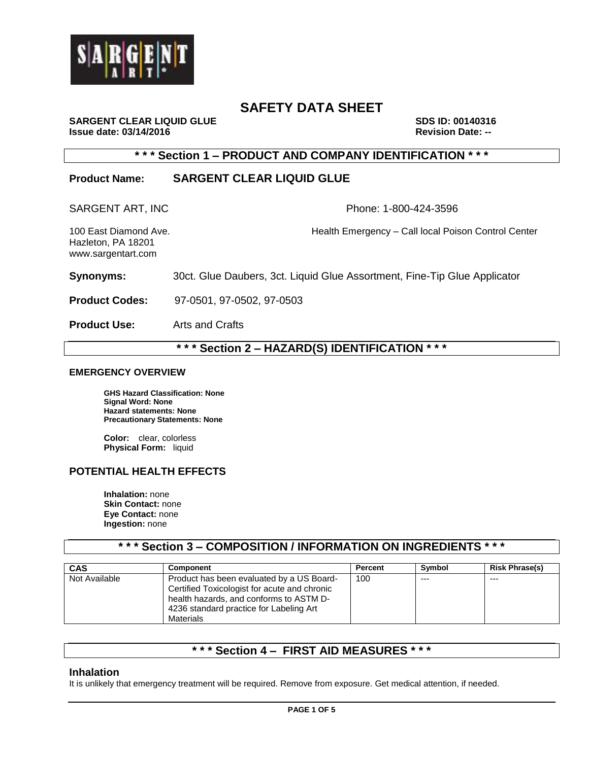

**SARGENT CLEAR LIQUID GLUE SARGENT CLEAR LIQUID GLUE Issue date: 03/14/2016 Revision Date: --**

# **\* \* \* Section 1 – PRODUCT AND COMPANY IDENTIFICATION \* \* \***

# **Product Name: SARGENT CLEAR LIQUID GLUE**

SARGENT ART, INC **Phone: 1-800-424-3596** 

Hazleton, PA 18201 www.sargentart.com

100 East Diamond Ave. Health Emergency – Call local Poison Control Center

**Synonyms:** 30ct. Glue Daubers, 3ct. Liquid Glue Assortment, Fine-Tip Glue Applicator

**Product Codes:** 97-0501, 97-0502, 97-0503

**Product Use:** Arts and Crafts

# **\* \* \* Section 2 – HAZARD(S) IDENTIFICATION \* \* \***

#### **EMERGENCY OVERVIEW**

**GHS Hazard Classification: None Signal Word: None Hazard statements: None Precautionary Statements: None**

**Color:** clear, colorless **Physical Form:** liquid

# **POTENTIAL HEALTH EFFECTS**

**Inhalation:** none **Skin Contact: none Eye Contact:** none **Ingestion:** none

# **\* \* \* Section 3 – COMPOSITION / INFORMATION ON INGREDIENTS \* \* \***

| CAS           | <b>Component</b>                                                                                                                     | Percent | Symbol  | <b>Risk Phrase(s)</b> |
|---------------|--------------------------------------------------------------------------------------------------------------------------------------|---------|---------|-----------------------|
| Not Available | Product has been evaluated by a US Board-<br>Certified Toxicologist for acute and chronic<br>health hazards, and conforms to ASTM D- | 100     | $- - -$ | $- - -$               |
|               | 4236 standard practice for Labeling Art<br><b>Materials</b>                                                                          |         |         |                       |

# **\* \* \* Section 4 – FIRST AID MEASURES \* \* \***

#### **Inhalation**

It is unlikely that emergency treatment will be required. Remove from exposure. Get medical attention, if needed.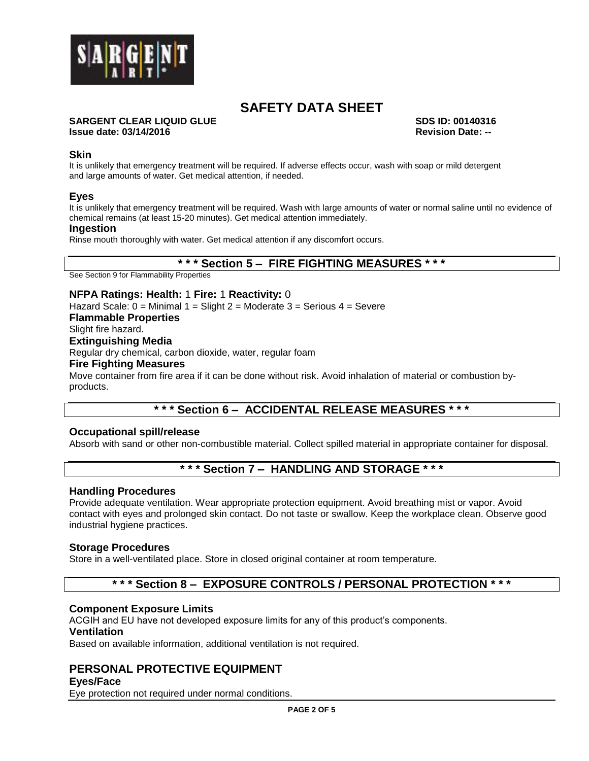

#### **SARGENT CLEAR LIQUID GLUE SDS ID: 00140316 Issue date: 03/14/2016 Revision Date: --**

#### **Skin**

It is unlikely that emergency treatment will be required. If adverse effects occur, wash with soap or mild detergent and large amounts of water. Get medical attention, if needed.

# **Eyes**

It is unlikely that emergency treatment will be required. Wash with large amounts of water or normal saline until no evidence of chemical remains (at least 15-20 minutes). Get medical attention immediately.

#### **Ingestion**

Rinse mouth thoroughly with water. Get medical attention if any discomfort occurs.

# **\* \* \* Section 5 – FIRE FIGHTING MEASURES \* \* \***

See Section 9 for Flammability Properties

## **NFPA Ratings: Health:** 1 **Fire:** 1 **Reactivity:** 0

Hazard Scale:  $0 =$  Minimal  $1 =$  Slight  $2 =$  Moderate  $3 =$  Serious  $4 =$  Severe **Flammable Properties** Slight fire hazard. **Extinguishing Media** Regular dry chemical, carbon dioxide, water, regular foam **Fire Fighting Measures** Move container from fire area if it can be done without risk. Avoid inhalation of material or combustion byproducts.

# **\* \* \* Section 6 – ACCIDENTAL RELEASE MEASURES \* \* \***

#### **Occupational spill/release**

Absorb with sand or other non-combustible material. Collect spilled material in appropriate container for disposal.

# **\* \* \* Section 7 – HANDLING AND STORAGE \* \* \***

#### **Handling Procedures**

Provide adequate ventilation. Wear appropriate protection equipment. Avoid breathing mist or vapor. Avoid contact with eyes and prolonged skin contact. Do not taste or swallow. Keep the workplace clean. Observe good industrial hygiene practices.

## **Storage Procedures**

Store in a well-ventilated place. Store in closed original container at room temperature.

# **\* \* \* Section 8 – EXPOSURE CONTROLS / PERSONAL PROTECTION \* \* \***

#### **Component Exposure Limits**

ACGIH and EU have not developed exposure limits for any of this product's components. **Ventilation**

Based on available information, additional ventilation is not required.

# **PERSONAL PROTECTIVE EQUIPMENT**

#### **Eyes/Face**

Eye protection not required under normal conditions.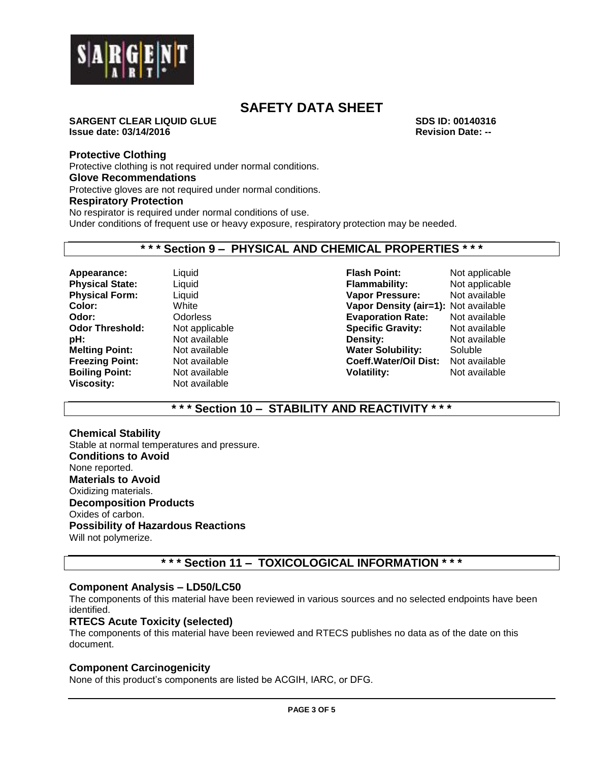

#### **SARGENT CLEAR LIQUID GLUE SDS ID: 00140316 Issue date: 03/14/2016 Revision Date: --**

#### **Protective Clothing**

Protective clothing is not required under normal conditions.

#### **Glove Recommendations**

Protective gloves are not required under normal conditions.

# **Respiratory Protection**

No respirator is required under normal conditions of use.

Under conditions of frequent use or heavy exposure, respiratory protection may be needed.

# **\* \* \* Section 9 – PHYSICAL AND CHEMICAL PROPERTIES \* \* \***

- **pH:** Not available **Density: Viscosity:** Not available
- 

**Appearance:** Liquid **Flash Point:** Not applicable **Physical State:** Liquid **Flammability:** Not applicable **Physical Form:** Liquid **Vapor Pressure:** Not available **Color:** White **Vapor Density (air=1):** Not available **Odor:** Odorless Codorless **Evaporation Rate:** Not available<br> **Odor Threshold:** Not applicable **Conservery** Specific Gravity: Not available **Specific Gravity:** Not available<br>**Density:** Not available **Melting Point:** Not available **Not available Water Solubility:** Soluble **Freezing Point:** Not available **Freezing Point:** Not available **Freezing Point:** Not available **Coeff.Water/Oil Dist:** Not available **Boiling Point:** Not available **Volatility:** Not available

# **\* \* \* Section 10 – STABILITY AND REACTIVITY \* \* \***

#### **Chemical Stability** Stable at normal temperatures and pressure. **Conditions to Avoid** None reported. **Materials to Avoid** Oxidizing materials. **Decomposition Products** Oxides of carbon. **Possibility of Hazardous Reactions** Will not polymerize.

**\* \* \* Section 11 – TOXICOLOGICAL INFORMATION \* \* \***

## **Component Analysis – LD50/LC50**

The components of this material have been reviewed in various sources and no selected endpoints have been identified.

## **RTECS Acute Toxicity (selected)**

The components of this material have been reviewed and RTECS publishes no data as of the date on this document.

## **Component Carcinogenicity**

None of this product's components are listed be ACGIH, IARC, or DFG.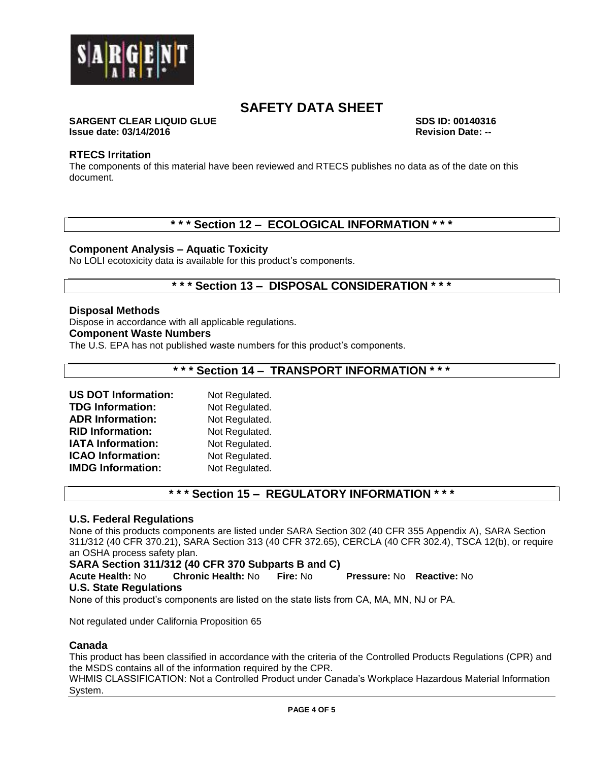

#### **SARGENT CLEAR LIQUID GLUE SDS ID: 00140316 Issue date: 03/14/2016 Revision Date: --**

# **RTECS Irritation**

The components of this material have been reviewed and RTECS publishes no data as of the date on this document.

# **\* \* \* Section 12 – ECOLOGICAL INFORMATION \* \* \***

#### **Component Analysis – Aquatic Toxicity**

No LOLI ecotoxicity data is available for this product's components.

# **\* \* \* Section 13 – DISPOSAL CONSIDERATION \* \* \***

#### **Disposal Methods**

Dispose in accordance with all applicable regulations.

# **Component Waste Numbers**

The U.S. EPA has not published waste numbers for this product's components.

# **\* \* \* Section 14 – TRANSPORT INFORMATION \* \* \***

| <b>US DOT Information:</b> | Not Regulated. |
|----------------------------|----------------|
| <b>TDG Information:</b>    | Not Regulated. |
| <b>ADR Information:</b>    | Not Regulated. |
| <b>RID Information:</b>    | Not Regulated. |
| <b>IATA Information:</b>   | Not Regulated. |
| <b>ICAO Information:</b>   | Not Regulated. |
| <b>IMDG Information:</b>   | Not Regulated. |

# **\* \* \* Section 15 – REGULATORY INFORMATION \* \* \***

#### **U.S. Federal Regulations**

None of this products components are listed under SARA Section 302 (40 CFR 355 Appendix A), SARA Section 311/312 (40 CFR 370.21), SARA Section 313 (40 CFR 372.65), CERCLA (40 CFR 302.4), TSCA 12(b), or require an OSHA process safety plan.

# **SARA Section 311/312 (40 CFR 370 Subparts B and C)**

**Acute Health:** No **Chronic Health:** No **Fire:** No **Pressure:** No **Reactive:** No

#### **U.S. State Regulations**

None of this product's components are listed on the state lists from CA, MA, MN, NJ or PA.

Not regulated under California Proposition 65

#### **Canada**

This product has been classified in accordance with the criteria of the Controlled Products Regulations (CPR) and the MSDS contains all of the information required by the CPR.

WHMIS CLASSIFICATION: Not a Controlled Product under Canada's Workplace Hazardous Material Information System.